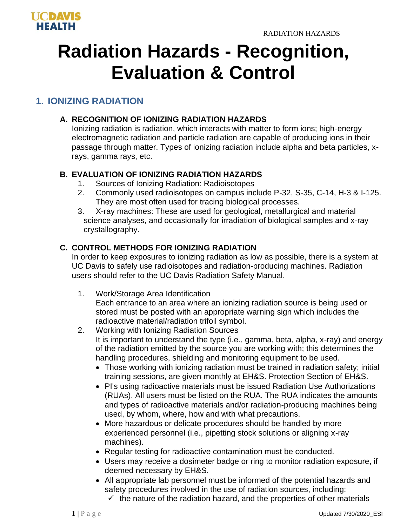

# **Radiation Hazards - Recognition, Evaluation & Control**

## **1. IONIZING RADIATION**

## **A. RECOGNITION OF IONIZING RADIATION HAZARDS**

Ionizing radiation is radiation, which interacts with matter to form ions; high-energy electromagnetic radiation and particle radiation are capable of producing ions in their passage through matter. Types of ionizing radiation include alpha and beta particles, xrays, gamma rays, etc.

## **B. EVALUATION OF IONIZING RADIATION HAZARDS**

- 1. Sources of Ionizing Radiation: Radioisotopes
- 2. Commonly used radioisotopes on campus include P-32, S-35, C-14, H-3 & I-125. They are most often used for tracing biological processes.
- 3. X-ray machines: These are used for geological, metallurgical and material science analyses, and occasionally for irradiation of biological samples and x-ray crystallography.

## **C. CONTROL METHODS FOR IONIZING RADIATION**

In order to keep exposures to ionizing radiation as low as possible, there is a system at UC Davis to safely use radioisotopes and radiation-producing machines. Radiation users should refer to the UC Davis Radiation Safety Manual.

- 1. Work/Storage Area Identification Each entrance to an area where an ionizing radiation source is being used or stored must be posted with an appropriate warning sign which includes the radioactive material/radiation trifoil symbol.
- 2. Working with Ionizing Radiation Sources It is important to understand the type (i.e., gamma, beta, alpha, x-ray) and energy of the radiation emitted by the source you are working with; this determines the handling procedures, shielding and monitoring equipment to be used.
	- Those working with ionizing radiation must be trained in radiation safety; initial training sessions, are given monthly at EH&S. Protection Section of EH&S.
	- PI's using radioactive materials must be issued Radiation Use Authorizations (RUAs). All users must be listed on the RUA. The RUA indicates the amounts and types of radioactive materials and/or radiation-producing machines being used, by whom, where, how and with what precautions.
	- More hazardous or delicate procedures should be handled by more experienced personnel (i.e., pipetting stock solutions or aligning x-ray machines).
	- Regular testing for radioactive contamination must be conducted.
	- Users may receive a dosimeter badge or ring to monitor radiation exposure, if deemed necessary by EH&S.
	- All appropriate lab personnel must be informed of the potential hazards and safety procedures involved in the use of radiation sources, including:
		- $\checkmark$  the nature of the radiation hazard, and the properties of other materials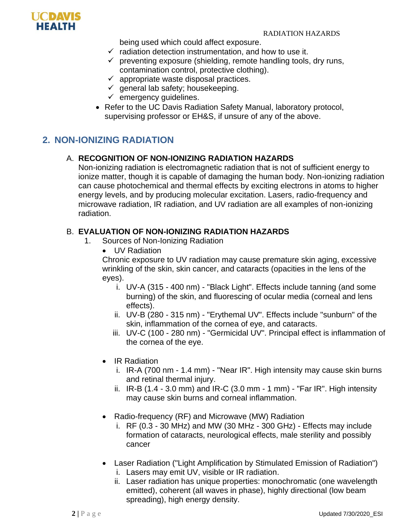

being used which could affect exposure.

- $\checkmark$  radiation detection instrumentation, and how to use it.
- $\checkmark$  preventing exposure (shielding, remote handling tools, dry runs, contamination control, protective clothing).
- $\checkmark$  appropriate waste disposal practices.
- $\checkmark$  general lab safety; housekeeping.
- $\checkmark$  emergency quidelines.
- Refer to the UC Davis Radiation Safety Manual, laboratory protocol, supervising professor or EH&S, if unsure of any of the above.

## **2. NON-IONIZING RADIATION**

## A. **RECOGNITION OF NON-IONIZING RADIATION HAZARDS**

Non-ionizing radiation is electromagnetic radiation that is not of sufficient energy to ionize matter, though it is capable of damaging the human body. Non-ionizing radiation can cause photochemical and thermal effects by exciting electrons in atoms to higher energy levels, and by producing molecular excitation. Lasers, radio-frequency and microwave radiation, IR radiation, and UV radiation are all examples of non-ionizing radiation.

## B. **EVALUATION OF NON-IONIZING RADIATION HAZARDS**

- 1. Sources of Non-Ionizing Radiation
	- UV Radiation

Chronic exposure to UV radiation may cause premature skin aging, excessive wrinkling of the skin, skin cancer, and cataracts (opacities in the lens of the eyes).

- i. UV-A (315 400 nm) "Black Light". Effects include tanning (and some burning) of the skin, and fluorescing of ocular media (corneal and lens effects).
- ii. UV-B (280 315 nm) "Erythemal UV". Effects include "sunburn" of the skin, inflammation of the cornea of eye, and cataracts.
- iii. UV-C (100 280 nm) "Germicidal UV". Principal effect is inflammation of the cornea of the eye.
- IR Radiation
	- i. IR-A (700 nm 1.4 mm) "Near IR". High intensity may cause skin burns and retinal thermal injury.
	- ii.  $IR-B$  (1.4 3.0 mm) and IR-C (3.0 mm 1 mm) "Far IR". High intensity may cause skin burns and corneal inflammation.
- Radio-frequency (RF) and Microwave (MW) Radiation
	- i. RF (0.3 30 MHz) and MW (30 MHz 300 GHz) Effects may include formation of cataracts, neurological effects, male sterility and possibly cancer
- Laser Radiation ("Light Amplification by Stimulated Emission of Radiation") i. Lasers may emit UV, visible or IR radiation.
	- ii. Laser radiation has unique properties: monochromatic (one wavelength emitted), coherent (all waves in phase), highly directional (low beam spreading), high energy density.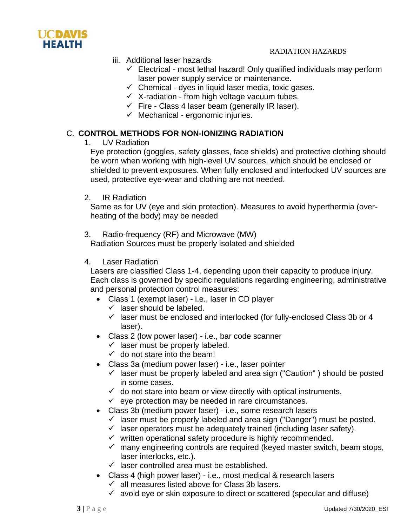



- iii. Additional laser hazards
	- $\checkmark$  Electrical most lethal hazard! Only qualified individuals may perform laser power supply service or maintenance.
	- $\checkmark$  Chemical dyes in liquid laser media, toxic gases.
	- $\checkmark$  X-radiation from high voltage vacuum tubes.
	- $\checkmark$  Fire Class 4 laser beam (generally IR laser).
	- $\checkmark$  Mechanical ergonomic injuries.

## C. **CONTROL METHODS FOR NON-IONIZING RADIATION**

1. UV Radiation

Eye protection (goggles, safety glasses, face shields) and protective clothing should be worn when working with high-level UV sources, which should be enclosed or shielded to prevent exposures. When fully enclosed and interlocked UV sources are used, protective eye-wear and clothing are not needed.

2. IR Radiation

Same as for UV (eye and skin protection). Measures to avoid hyperthermia (overheating of the body) may be needed

- 3. Radio-frequency (RF) and Microwave (MW) Radiation Sources must be properly isolated and shielded
- 4. Laser Radiation

Lasers are classified Class 1-4, depending upon their capacity to produce injury. Each class is governed by specific regulations regarding engineering, administrative and personal protection control measures:

- Class 1 (exempt laser) i.e., laser in CD player
	- $\checkmark$  laser should be labeled.
	- $\checkmark$  laser must be enclosed and interlocked (for fully-enclosed Class 3b or 4 laser).
- Class 2 (low power laser) i.e., bar code scanner
	- $\checkmark$  laser must be properly labeled.
	- $\checkmark$  do not stare into the beam!
- Class 3a (medium power laser) i.e., laser pointer
	- $\checkmark$  laser must be properly labeled and area sign ("Caution") should be posted in some cases.
	- $\checkmark$  do not stare into beam or view directly with optical instruments.
	- $\checkmark$  eye protection may be needed in rare circumstances.
- Class 3b (medium power laser) i.e., some research lasers
	- $\checkmark$  laser must be properly labeled and area sign ("Danger") must be posted.
	- $\checkmark$  laser operators must be adequately trained (including laser safety).
	- $\checkmark$  written operational safety procedure is highly recommended.
	- $\checkmark$  many engineering controls are required (keyed master switch, beam stops, laser interlocks, etc.).
	- $\checkmark$  laser controlled area must be established.
- Class 4 (high power laser) i.e., most medical & research lasers
	- $\checkmark$  all measures listed above for Class 3b lasers.
	- $\checkmark$  avoid eye or skin exposure to direct or scattered (specular and diffuse)